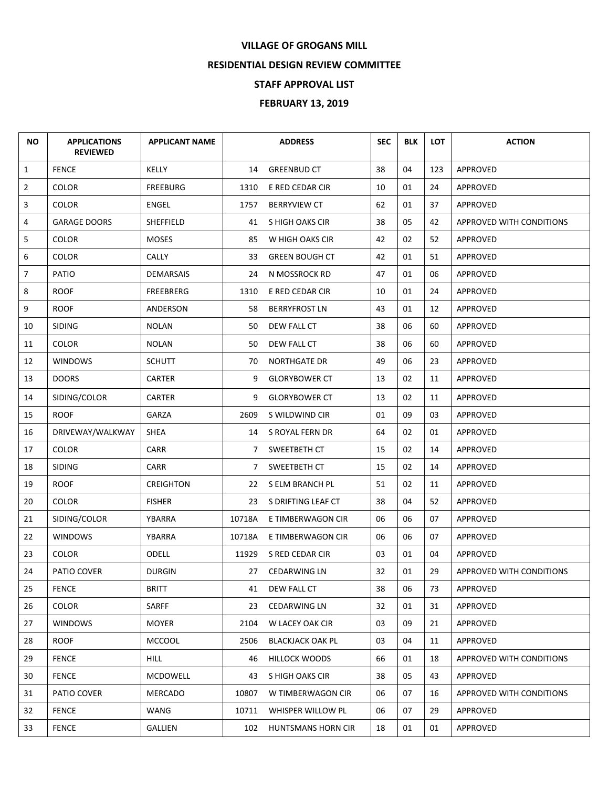## **VILLAGE OF GROGANS MILL**

## **RESIDENTIAL DESIGN REVIEW COMMITTEE**

## **STAFF APPROVAL LIST**

## **FEBRUARY 13, 2019**

| <b>NO</b>      | <b>APPLICATIONS</b><br><b>REVIEWED</b> | <b>APPLICANT NAME</b> |        | <b>ADDRESS</b>          | <b>SEC</b> | <b>BLK</b> | <b>LOT</b> | <b>ACTION</b>            |
|----------------|----------------------------------------|-----------------------|--------|-------------------------|------------|------------|------------|--------------------------|
| $\mathbf{1}$   | <b>FENCE</b>                           | KELLY                 | 14     | <b>GREENBUD CT</b>      | 38         | 04         | 123        | APPROVED                 |
| $\overline{2}$ | <b>COLOR</b>                           | <b>FREEBURG</b>       | 1310   | E RED CEDAR CIR         | 10         | 01         | 24         | APPROVED                 |
| 3              | <b>COLOR</b>                           | <b>ENGEL</b>          | 1757   | <b>BERRYVIEW CT</b>     | 62         | 01         | 37         | APPROVED                 |
| 4              | <b>GARAGE DOORS</b>                    | SHEFFIELD             | 41     | S HIGH OAKS CIR         | 38         | 05         | 42         | APPROVED WITH CONDITIONS |
| 5              | <b>COLOR</b>                           | <b>MOSES</b>          | 85     | W HIGH OAKS CIR         | 42         | 02         | 52         | APPROVED                 |
| 6              | <b>COLOR</b>                           | <b>CALLY</b>          | 33     | <b>GREEN BOUGH CT</b>   | 42         | 01         | 51         | <b>APPROVED</b>          |
| $\overline{7}$ | PATIO                                  | <b>DEMARSAIS</b>      | 24     | N MOSSROCK RD           | 47         | 01         | 06         | <b>APPROVED</b>          |
| 8              | <b>ROOF</b>                            | <b>FREEBRERG</b>      | 1310   | E RED CEDAR CIR         | 10         | 01         | 24         | APPROVED                 |
| 9              | <b>ROOF</b>                            | ANDERSON              | 58     | <b>BERRYFROST LN</b>    | 43         | 01         | 12         | <b>APPROVED</b>          |
| 10             | <b>SIDING</b>                          | <b>NOLAN</b>          | 50     | DEW FALL CT             | 38         | 06         | 60         | APPROVED                 |
| 11             | <b>COLOR</b>                           | <b>NOLAN</b>          | 50     | DEW FALL CT             | 38         | 06         | 60         | APPROVED                 |
| 12             | <b>WINDOWS</b>                         | <b>SCHUTT</b>         | 70     | <b>NORTHGATE DR</b>     | 49         | 06         | 23         | <b>APPROVED</b>          |
| 13             | <b>DOORS</b>                           | CARTER                | 9      | <b>GLORYBOWER CT</b>    | 13         | 02         | 11         | <b>APPROVED</b>          |
| 14             | SIDING/COLOR                           | CARTER                | 9      | <b>GLORYBOWER CT</b>    | 13         | 02         | 11         | APPROVED                 |
| 15             | <b>ROOF</b>                            | <b>GARZA</b>          | 2609   | S WILDWIND CIR          | 01         | 09         | 03         | APPROVED                 |
| 16             | DRIVEWAY/WALKWAY                       | <b>SHEA</b>           |        | 14 S ROYAL FERN DR      | 64         | 02         | 01         | APPROVED                 |
| 17             | <b>COLOR</b>                           | CARR                  | 7      | SWEETBETH CT            | 15         | 02         | 14         | <b>APPROVED</b>          |
| 18             | <b>SIDING</b>                          | CARR                  | 7      | SWEETBETH CT            | 15         | 02         | 14         | <b>APPROVED</b>          |
| 19             | <b>ROOF</b>                            | <b>CREIGHTON</b>      |        | 22 S ELM BRANCH PL      | 51         | 02         | 11         | APPROVED                 |
| 20             | <b>COLOR</b>                           | <b>FISHER</b>         | 23     | S DRIFTING LEAF CT      | 38         | 04         | 52         | <b>APPROVED</b>          |
| 21             | SIDING/COLOR                           | YBARRA                | 10718A | E TIMBERWAGON CIR       | 06         | 06         | 07         | <b>APPROVED</b>          |
| 22             | <b>WINDOWS</b>                         | YBARRA                | 10718A | E TIMBERWAGON CIR       | 06         | 06         | 07         | APPROVED                 |
| 23             | <b>COLOR</b>                           | ODELL                 | 11929  | S RED CEDAR CIR         | 03         | 01         | 04         | <b>APPROVED</b>          |
| 24             | PATIO COVER                            | <b>DURGIN</b>         | 27     | <b>CEDARWING LN</b>     | 32         | 01         | 29         | APPROVED WITH CONDITIONS |
| 25             | <b>FENCE</b>                           | <b>BRITT</b>          | 41     | DEW FALL CT             | 38         | 06         | 73         | APPROVED                 |
| 26             | <b>COLOR</b>                           | SARFF                 | 23     | <b>CEDARWING LN</b>     | 32         | 01         | 31         | <b>APPROVED</b>          |
| 27             | <b>WINDOWS</b>                         | <b>MOYER</b>          | 2104   | W LACEY OAK CIR         | 03         | 09         | 21         | APPROVED                 |
| 28             | <b>ROOF</b>                            | <b>MCCOOL</b>         | 2506   | <b>BLACKJACK OAK PL</b> | 03         | 04         | 11         | APPROVED                 |
| 29             | <b>FENCE</b>                           | HILL                  | 46     | <b>HILLOCK WOODS</b>    | 66         | 01         | 18         | APPROVED WITH CONDITIONS |
| 30             | <b>FENCE</b>                           | <b>MCDOWELL</b>       | 43     | S HIGH OAKS CIR         | 38         | 05         | 43         | APPROVED                 |
| 31             | PATIO COVER                            | MERCADO               | 10807  | W TIMBERWAGON CIR       | 06         | 07         | 16         | APPROVED WITH CONDITIONS |
| 32             | <b>FENCE</b>                           | WANG                  | 10711  | WHISPER WILLOW PL       | 06         | 07         | 29         | APPROVED                 |
| 33             | <b>FENCE</b>                           | GALLIEN               | 102    | HUNTSMANS HORN CIR      | 18         | 01         | 01         | APPROVED                 |